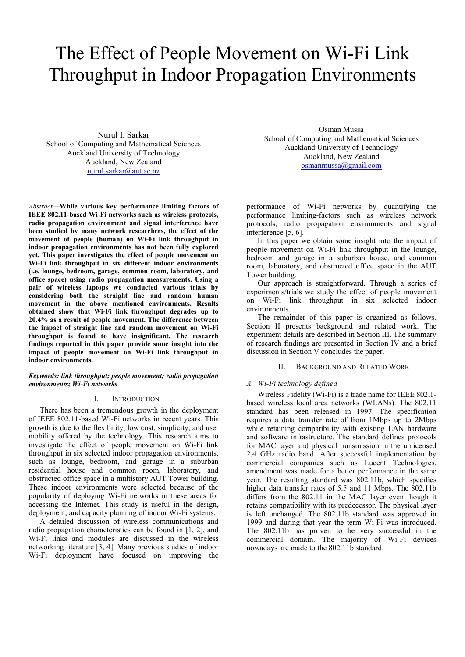# The Effect of People Movement on Wi-Fi Link Throughput in Indoor Propagation Environments

Nurul I. Sarkar School of Computing and Mathematical Sciences Auckland University of Technology Auckland, New Zealand nurul.sarkar@aut.ac.nz

*Abstract***—While various key performance limiting factors of IEEE 802.11-based Wi-Fi networks such as wireless protocols, radio propagation environment and signal interference have been studied by many network researchers, the effect of the movement of people (human) on Wi-Fi link throughput in indoor propagation environments has not been fully explored yet. This paper investigates the effect of people movement on Wi-Fi link throughput in six different indoor environments (i.e. lounge, bedroom, garage, common room, laboratory, and office space) using radio propagation measurements. Using a pair of wireless laptops we conducted various trials by considering both the straight line and random human movement in the above mentioned environments. Results obtained show that Wi-Fi link throughput degrades up to 20.4% as a result of people movement. The difference between the impact of straight line and random movement on Wi-Fi throughput is found to have insignificant. The research findings reported in this paper provide some insight into the impact of people movement on Wi-Fi link throughput in indoor environments.** 

#### *Keywords: link throughput; people movement; radio propagation environments; Wi-Fi networks*

## I. INTRODUCTION

There has been a tremendous growth in the deployment of IEEE 802.11-based Wi-Fi networks in recent years. This growth is due to the flexibility, low cost, simplicity, and user mobility offered by the technology. This research aims to investigate the effect of people movement on Wi-Fi link throughput in six selected indoor propagation environments, such as lounge, bedroom, and garage in a suburban residential house and common room, laboratory, and obstructed office space in a multistory AUT Tower building. These indoor environments were selected because of the popularity of deploying Wi-Fi networks in these areas for accessing the Internet. This study is useful in the design, deployment, and capacity planning of indoor Wi-Fi systems.

A detailed discussion of wireless communications and radio propagation characteristics can be found in [1, 2], and Wi-Fi links and modules are discussed in the wireless networking literature [3, 4]. Many previous studies of indoor Wi-Fi deployment have focused on improving the

Osman Mussa School of Computing and Mathematical Sciences Auckland University of Technology Auckland, New Zealand osmanmussa@gmail.com

performance of Wi-Fi networks by quantifying the performance limiting-factors such as wireless network protocols, radio propagation environments and signal interference [5, 6].

In this paper we obtain some insight into the impact of people movement on Wi-Fi link throughput in the lounge, bedroom and garage in a suburban house, and common room, laboratory, and obstructed office space in the AUT Tower building.

Our approach is straightforward. Through a series of experiments/trials we study the effect of people movement on Wi-Fi link throughput in six selected indoor environments.

The remainder of this paper is organized as follows. Section II presents background and related work. The experiment details are described in Section III. The summary of research findings are presented in Section IV and a brief discussion in Section V concludes the paper.

## II. BACKGROUND AND RELATED WORK

## *A. Wi-Fi technology defined*

Wireless Fidelity (Wi-Fi) is a trade name for IEEE 802.1 based wireless local area networks (WLANs). The 802.11 standard has been released in 1997. The specification requires a data transfer rate of from 1Mbps up to 2Mbps while retaining compatibility with existing LAN hardware and software infrastructure. The standard defines protocols for MAC layer and physical transmission in the unlicensed 2.4 GHz radio band. After successful implementation by commercial companies such as Lucent Technologies, amendment was made for a better performance in the same year. The resulting standard was 802.11b, which specifies higher data transfer rates of 5.5 and 11 Mbps. The 802.11b differs from the 802.11 in the MAC layer even though it retains compatibility with its predecessor. The physical layer is left unchanged. The 802.11b standard was approved in 1999 and during that year the term Wi-Fi was introduced. The 802.11b has proven to be very successful in the commercial domain. The majority of Wi-Fi devices nowadays are made to the 802.11b standard.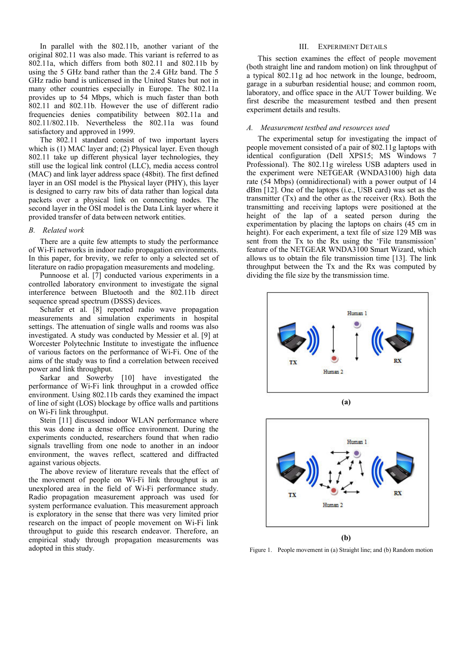In parallel with the 802.11b, another variant of the original 802.11 was also made. This variant is referred to as 802.11a, which differs from both 802.11 and 802.11b by using the 5 GHz band rather than the 2.4 GHz band. The 5 GHz radio band is unlicensed in the United States but not in many other countries especially in Europe. The 802.11a provides up to 54 Mbps, which is much faster than both 802.11 and 802.11b. However the use of different radio frequencies denies compatibility between 802.11a and 802.11/802.11b. Nevertheless the 802.11a was found satisfactory and approved in 1999.

The 802.11 standard consist of two important layers which is (1) MAC layer and; (2) Physical layer. Even though 802.11 take up different physical layer technologies, they still use the logical link control (LLC), media access control (MAC) and link layer address space (48bit). The first defined layer in an OSI model is the Physical layer (PHY), this layer is designed to carry raw bits of data rather than logical data packets over a physical link on connecting nodes. The second layer in the OSI model is the Data Link layer where it provided transfer of data between network entities.

## *B. Related work*

There are a quite few attempts to study the performance of Wi-Fi networks in indoor radio propagation environments. In this paper, for brevity, we refer to only a selected set of literature on radio propagation measurements and modeling.

Punnoose et al. [7] conducted various experiments in a controlled laboratory environment to investigate the signal interference between Bluetooth and the 802.11b direct sequence spread spectrum (DSSS) devices.

Schafer et al. [8] reported radio wave propagation measurements and simulation experiments in hospital settings. The attenuation of single walls and rooms was also investigated. A study was conducted by Messier et al. [9] at Worcester Polytechnic Institute to investigate the influence of various factors on the performance of Wi-Fi. One of the aims of the study was to find a correlation between received power and link throughput.

Sarkar and Sowerby [10] have investigated the performance of Wi-Fi link throughput in a crowded office environment. Using 802.11b cards they examined the impact of line of sight (LOS) blockage by office walls and partitions on Wi-Fi link throughput.

Stein [11] discussed indoor WLAN performance where this was done in a dense office environment. During the experiments conducted, researchers found that when radio signals travelling from one node to another in an indoor environment, the waves reflect, scattered and diffracted against various objects.

The above review of literature reveals that the effect of the movement of people on Wi-Fi link throughput is an unexplored area in the field of Wi-Fi performance study. Radio propagation measurement approach was used for system performance evaluation. This measurement approach is exploratory in the sense that there was very limited prior research on the impact of people movement on Wi-Fi link throughput to guide this research endeavor. Therefore, an empirical study through propagation measurements was adopted in this study.

## III. EXPERIMENT DETAILS

This section examines the effect of people movement (both straight line and random motion) on link throughput of a typical 802.11g ad hoc network in the lounge, bedroom, garage in a suburban residential house; and common room, laboratory, and office space in the AUT Tower building. We first describe the measurement testbed and then present experiment details and results.

#### *A. Measurement testbed and resources used*

The experimental setup for investigating the impact of people movement consisted of a pair of 802.11g laptops with identical configuration (Dell XPS15; MS Windows 7 Professional). The 802.11g wireless USB adapters used in the experiment were NETGEAR (WNDA3100) high data rate (54 Mbps) (omnidirectional) with a power output of 14 dBm [12]. One of the laptops (i.e., USB card) was set as the transmitter (Tx) and the other as the receiver (Rx). Both the transmitting and receiving laptops were positioned at the height of the lap of a seated person during the experimentation by placing the laptops on chairs (45 cm in height). For each experiment, a text file of size 129 MB was sent from the Tx to the Rx using the 'File transmission' feature of the NETGEAR WNDA3100 Smart Wizard, which allows us to obtain the file transmission time [13]. The link throughput between the Tx and the Rx was computed by dividing the file size by the transmission time.





Figure 1. People movement in (a) Straight line; and (b) Random motion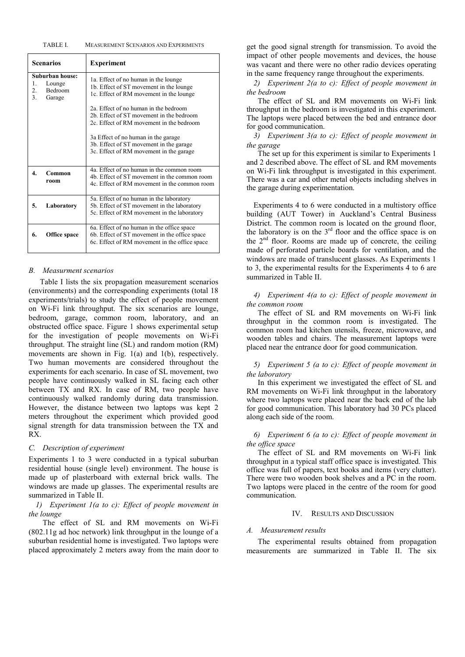#### TABLE I. MEASUREMENT SCENARIOS AND EXPERIMENTS

| <b>Scenarios</b>                                                        | <b>Experiment</b>                                                                                                          |  |  |  |
|-------------------------------------------------------------------------|----------------------------------------------------------------------------------------------------------------------------|--|--|--|
| Suburban house:<br>1.<br>Lounge<br>2.<br><b>Bedroom</b><br>3.<br>Garage | 1a. Effect of no human in the lounge<br>1b. Effect of ST movement in the lounge<br>1c. Effect of RM movement in the lounge |  |  |  |
|                                                                         | 2a. Effect of no human in the bedroom                                                                                      |  |  |  |
|                                                                         | 2b. Effect of ST movement in the bedroom                                                                                   |  |  |  |
|                                                                         | 2c. Effect of RM movement in the bedroom                                                                                   |  |  |  |
|                                                                         | 3a Effect of no human in the garage                                                                                        |  |  |  |
|                                                                         | 3b. Effect of ST movement in the garage                                                                                    |  |  |  |
|                                                                         | 3c. Effect of RM movement in the garage                                                                                    |  |  |  |
| 4.<br>Common                                                            | 4a. Effect of no human in the common room                                                                                  |  |  |  |
| room                                                                    | 4b. Effect of ST movement in the common room                                                                               |  |  |  |
|                                                                         | 4c. Effect of RM movement in the common room                                                                               |  |  |  |
|                                                                         | 5a. Effect of no human in the laboratory                                                                                   |  |  |  |
| 5.<br>Laboratory                                                        | 5b. Effect of ST movement in the laboratory                                                                                |  |  |  |
|                                                                         | 5c. Effect of RM movement in the laboratory                                                                                |  |  |  |
|                                                                         | 6a. Effect of no human in the office space                                                                                 |  |  |  |
| 6.<br>Office space                                                      | 6b. Effect of ST movement in the office space                                                                              |  |  |  |
|                                                                         | 6c. Effect of RM movement in the office space                                                                              |  |  |  |
|                                                                         |                                                                                                                            |  |  |  |

## *B. Measurment scenarios*

Table I lists the six propagation measurement scenarios (environments) and the corresponding experiments (total 18 experiments/trials) to study the effect of people movement on Wi-Fi link throughput. The six scenarios are lounge, bedroom, garage, common room, laboratory, and an obstructed office space. Figure 1 shows experimental setup for the investigation of people movements on Wi-Fi throughput. The straight line (SL) and random motion (RM) movements are shown in Fig. 1(a) and 1(b), respectively. Two human movements are considered throughout the experiments for each scenario. In case of SL movement, two people have continuously walked in SL facing each other between TX and RX. In case of RM, two people have continuously walked randomly during data transmission. However, the distance between two laptops was kept 2 meters throughout the experiment which provided good signal strength for data transmission between the TX and RX.

### *C. Description of experiment*

Experiments 1 to 3 were conducted in a typical suburban residential house (single level) environment. The house is made up of plasterboard with external brick walls. The windows are made up glasses. The experimental results are summarized in Table II.

## *1) Experiment 1(a to c): Effect of people movement in the lounge*

The effect of SL and RM movements on Wi-Fi (802.11g ad hoc network) link throughput in the lounge of a suburban residential home is investigated. Two laptops were placed approximately 2 meters away from the main door to get the good signal strength for transmission. To avoid the impact of other people movements and devices, the house was vacant and there were no other radio devices operating in the same frequency range throughout the experiments.

*2) Experiment 2(a to c): Effect of people movement in the bedroom* 

The effect of SL and RM movements on Wi-Fi link throughput in the bedroom is investigated in this experiment. The laptops were placed between the bed and entrance door for good communication.

*3) Experiment 3(a to c): Effect of people movement in the garage* 

The set up for this experiment is similar to Experiments 1 and 2 described above. The effect of SL and RM movements on Wi-Fi link throughput is investigated in this experiment. There was a car and other metal objects including shelves in the garage during experimentation.

Experiments 4 to 6 were conducted in a multistory office building (AUT Tower) in Auckland's Central Business District. The common room is located on the ground floor, the laboratory is on the  $3<sup>rd</sup>$  floor and the office space is on the  $2<sup>nd</sup>$  floor. Rooms are made up of concrete, the ceiling made of perforated particle boards for ventilation, and the windows are made of translucent glasses. As Experiments 1 to 3, the experimental results for the Experiments 4 to 6 are summarized in Table II.

## *4) Experiment 4(a to c): Effect of people movement in the common room*

The effect of SL and RM movements on Wi-Fi link throughput in the common room is investigated. The common room had kitchen utensils, freeze, microwave, and wooden tables and chairs. The measurement laptops were placed near the entrance door for good communication.

# *5) Experiment 5 (a to c): Effect of people movement in the laboratory*

In this experiment we investigated the effect of SL and RM movements on Wi-Fi link throughput in the laboratory where two laptops were placed near the back end of the lab for good communication. This laboratory had 30 PCs placed along each side of the room.

## *6) Experiment 6 (a to c): Effect of people movement in the office space*

The effect of SL and RM movements on Wi-Fi link throughput in a typical staff office space is investigated. This office was full of papers, text books and items (very clutter). There were two wooden book shelves and a PC in the room. Two laptops were placed in the centre of the room for good communication.

#### IV. RESULTS AND DISCUSSION

#### *A. Measurement results*

The experimental results obtained from propagation measurements are summarized in Table II. The six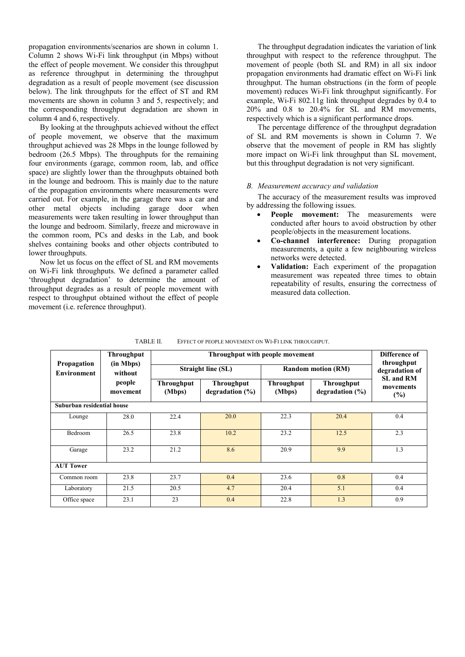propagation environments/scenarios are shown in column 1. Column 2 shows Wi-Fi link throughput (in Mbps) without the effect of people movement. We consider this throughput as reference throughput in determining the throughput degradation as a result of people movement (see discussion below). The link throughputs for the effect of ST and RM movements are shown in column 3 and 5, respectively; and the corresponding throughput degradation are shown in column 4 and 6, respectively.

By looking at the throughputs achieved without the effect of people movement, we observe that the maximum throughput achieved was 28 Mbps in the lounge followed by bedroom (26.5 Mbps). The throughputs for the remaining four environments (garage, common room, lab, and office space) are slightly lower than the throughputs obtained both in the lounge and bedroom. This is mainly due to the nature of the propagation environments where measurements were carried out. For example, in the garage there was a car and other metal objects including garage door when measurements were taken resulting in lower throughput than the lounge and bedroom. Similarly, freeze and microwave in the common room, PCs and desks in the Lab, and book shelves containing books and other objects contributed to lower throughputs.

Now let us focus on the effect of SL and RM movements on Wi-Fi link throughputs. We defined a parameter called 'throughput degradation' to determine the amount of throughput degrades as a result of people movement with respect to throughput obtained without the effect of people movement (i.e. reference throughput).

The throughput degradation indicates the variation of link throughput with respect to the reference throughput. The movement of people (both SL and RM) in all six indoor propagation environments had dramatic effect on Wi-Fi link throughput. The human obstructions (in the form of people movement) reduces Wi-Fi link throughput significantly. For example, Wi-Fi 802.11g link throughput degrades by 0.4 to 20% and 0.8 to 20.4% for SL and RM movements, respectively which is a significant performance drops.

The percentage difference of the throughput degradation of SL and RM movements is shown in Column 7. We observe that the movement of people in RM has slightly more impact on Wi-Fi link throughput than SL movement, but this throughput degradation is not very significant.

### *B. Measurement accuracy and validation*

The accuracy of the measurement results was improved by addressing the following issues.

- **People movement:** The measurements were conducted after hours to avoid obstruction by other people/objects in the measurement locations.
- **Co-channel interference:** During propagation measurements, a quite a few neighbouring wireless networks were detected.
- **Validation:** Each experiment of the propagation measurement was repeated three times to obtain repeatability of results, ensuring the correctness of measured data collection.

| Propagation<br><b>Environment</b> | <b>Throughput</b><br>(in Mbps)<br>without<br>people<br>movement | Throughput with people movement |                                          |                             |                                          | Difference of<br>throughput          |  |  |
|-----------------------------------|-----------------------------------------------------------------|---------------------------------|------------------------------------------|-----------------------------|------------------------------------------|--------------------------------------|--|--|
|                                   |                                                                 | <b>Straight line (SL)</b>       |                                          | <b>Random motion (RM)</b>   |                                          | degradation of                       |  |  |
|                                   |                                                                 | <b>Throughput</b><br>(Mbps)     | <b>Throughput</b><br>degradation $(\% )$ | <b>Throughput</b><br>(Mbps) | <b>Throughput</b><br>degradation $(\% )$ | <b>SL and RM</b><br>movements<br>(%) |  |  |
| Suburban residential house        |                                                                 |                                 |                                          |                             |                                          |                                      |  |  |
| Lounge                            | 28.0                                                            | 22.4                            | 20.0                                     | 22.3                        | 20.4                                     | 0.4                                  |  |  |
| <b>Bedroom</b>                    | 26.5                                                            | 23.8                            | 10.2                                     | 23.2                        | 12.5                                     | 2.3                                  |  |  |
| Garage                            | 23.2                                                            | 21.2                            | 8.6                                      | 20.9                        | 9.9                                      | 1.3                                  |  |  |
| <b>AUT Tower</b>                  |                                                                 |                                 |                                          |                             |                                          |                                      |  |  |
| Common room                       | 23.8                                                            | 23.7                            | 0.4                                      | 23.6                        | 0.8                                      | 0.4                                  |  |  |
| Laboratory                        | 21.5                                                            | 20.5                            | 4.7                                      | 20.4                        | 5.1                                      | 0.4                                  |  |  |
| Office space                      | 23.1                                                            | 23                              | 0.4                                      | 22.8                        | 1.3                                      | 0.9                                  |  |  |

TABLE II. EFFECT OF PEOPLE MOVEMENT ON WI-FI LINK THROUGHPUT.